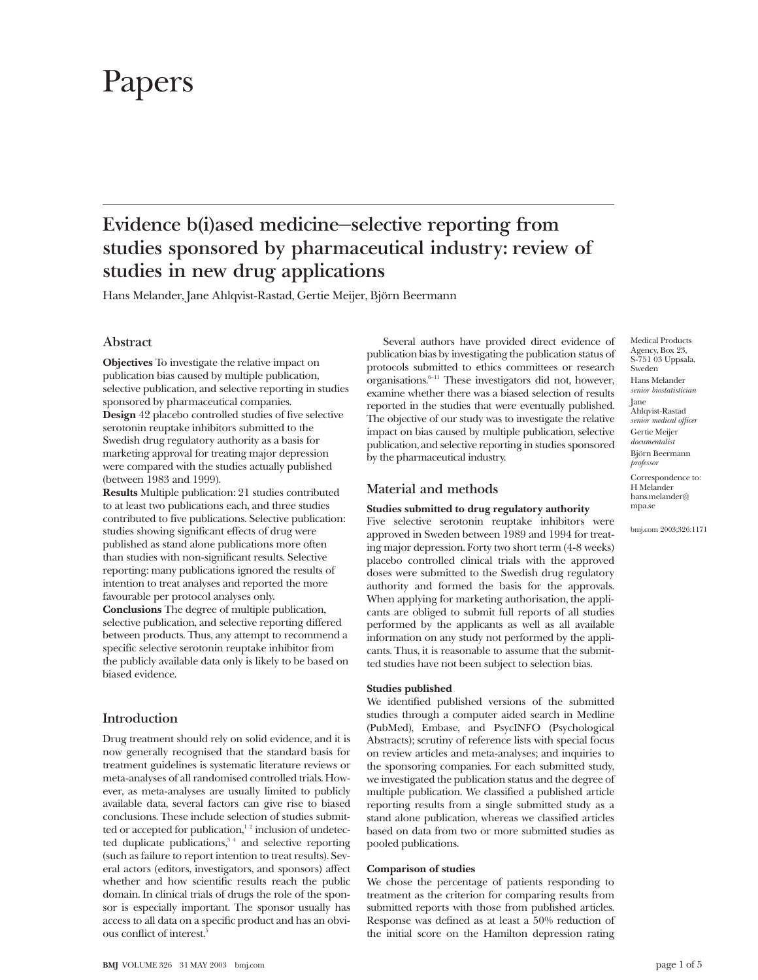# Papers

# **Evidence b(i)ased medicine—selective reporting from studies sponsored by pharmaceutical industry: review of studies in new drug applications**

Hans Melander, Jane Ahlqvist-Rastad, Gertie Meijer, Björn Beermann

### **Abstract**

**Objectives** To investigate the relative impact on publication bias caused by multiple publication, selective publication, and selective reporting in studies sponsored by pharmaceutical companies. **Design** 42 placebo controlled studies of five selective serotonin reuptake inhibitors submitted to the Swedish drug regulatory authority as a basis for marketing approval for treating major depression were compared with the studies actually published (between 1983 and 1999).

**Results** Multiple publication: 21 studies contributed to at least two publications each, and three studies contributed to five publications. Selective publication: studies showing significant effects of drug were published as stand alone publications more often than studies with non-significant results. Selective reporting: many publications ignored the results of intention to treat analyses and reported the more favourable per protocol analyses only. **Conclusions** The degree of multiple publication, selective publication, and selective reporting differed

between products. Thus, any attempt to recommend a specific selective serotonin reuptake inhibitor from the publicly available data only is likely to be based on biased evidence.

## **Introduction**

Drug treatment should rely on solid evidence, and it is now generally recognised that the standard basis for treatment guidelines is systematic literature reviews or meta-analyses of all randomised controlled trials. However, as meta-analyses are usually limited to publicly available data, several factors can give rise to biased conclusions. These include selection of studies submitted or accepted for publication,<sup>12</sup> inclusion of undetected duplicate publications,<sup>34</sup> and selective reporting (such as failure to report intention to treat results). Several actors (editors, investigators, and sponsors) affect whether and how scientific results reach the public domain. In clinical trials of drugs the role of the sponsor is especially important. The sponsor usually has access to all data on a specific product and has an obvious conflict of interest.<sup>5</sup>

Several authors have provided direct evidence of publication bias by investigating the publication status of protocols submitted to ethics committees or research organisations.6–11 These investigators did not, however, examine whether there was a biased selection of results reported in the studies that were eventually published. The objective of our study was to investigate the relative impact on bias caused by multiple publication, selective publication, and selective reporting in studies sponsored by the pharmaceutical industry.

#### **Material and methods**

#### **Studies submitted to drug regulatory authority**

Five selective serotonin reuptake inhibitors were approved in Sweden between 1989 and 1994 for treating major depression. Forty two short term (4-8 weeks) placebo controlled clinical trials with the approved doses were submitted to the Swedish drug regulatory authority and formed the basis for the approvals. When applying for marketing authorisation, the applicants are obliged to submit full reports of all studies performed by the applicants as well as all available information on any study not performed by the applicants. Thus, it is reasonable to assume that the submitted studies have not been subject to selection bias.

#### **Studies published**

We identified published versions of the submitted studies through a computer aided search in Medline (PubMed), Embase, and PsycINFO (Psychological Abstracts); scrutiny of reference lists with special focus on review articles and meta-analyses; and inquiries to the sponsoring companies. For each submitted study, we investigated the publication status and the degree of multiple publication. We classified a published article reporting results from a single submitted study as a stand alone publication, whereas we classified articles based on data from two or more submitted studies as pooled publications.

#### **Comparison of studies**

We chose the percentage of patients responding to treatment as the criterion for comparing results from submitted reports with those from published articles. Response was defined as at least a 50% reduction of the initial score on the Hamilton depression rating

Medical Products Agency, Box 23, S-751 03 Uppsala, Sweden Hans Melander *senior biostatistician* Jane Ahlqvist-Rastad *senior medical officer* Gertie Meijer *documentalist* Björn Beermann *professor* Correspondence to: H Melander hans.melander@ mpa.se

bmj.com 2003;326:1171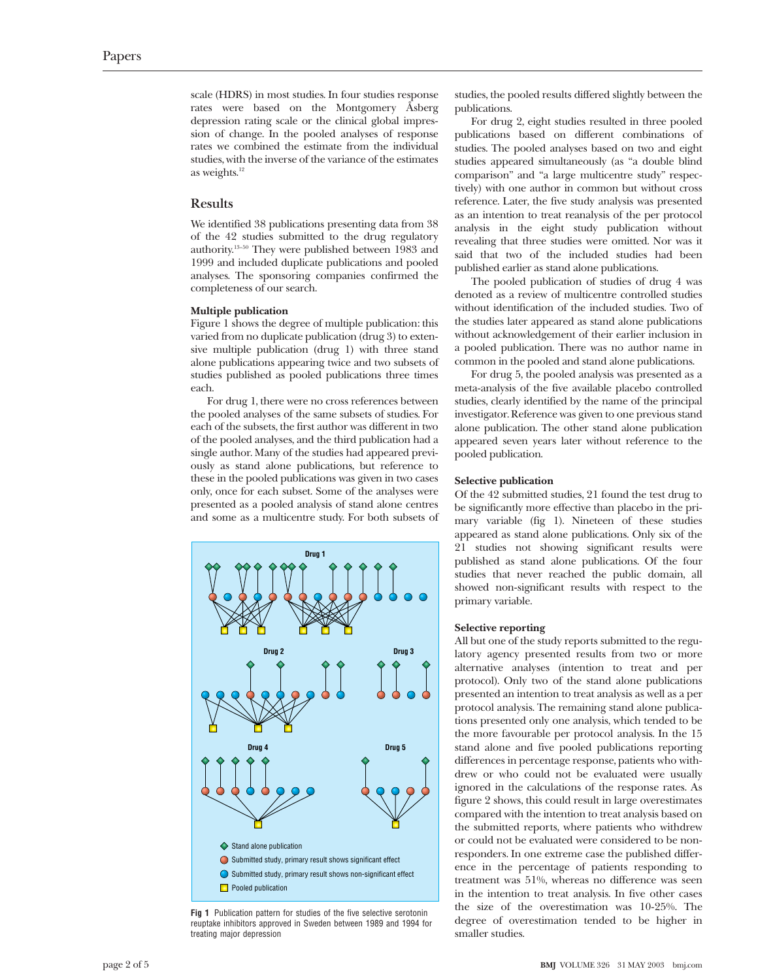scale (HDRS) in most studies. In four studies response rates were based on the Montgomery Åsberg depression rating scale or the clinical global impression of change. In the pooled analyses of response rates we combined the estimate from the individual studies, with the inverse of the variance of the estimates as weights. $12$ 

#### **Results**

We identified 38 publications presenting data from 38 of the 42 studies submitted to the drug regulatory authority.13–50 They were published between 1983 and 1999 and included duplicate publications and pooled analyses. The sponsoring companies confirmed the completeness of our search.

#### **Multiple publication**

Figure 1 shows the degree of multiple publication: this varied from no duplicate publication (drug 3) to extensive multiple publication (drug 1) with three stand alone publications appearing twice and two subsets of studies published as pooled publications three times each.

For drug 1, there were no cross references between the pooled analyses of the same subsets of studies. For each of the subsets, the first author was different in two of the pooled analyses, and the third publication had a single author. Many of the studies had appeared previously as stand alone publications, but reference to these in the pooled publications was given in two cases only, once for each subset. Some of the analyses were presented as a pooled analysis of stand alone centres and some as a multicentre study. For both subsets of



**Fig 1** Publication pattern for studies of the five selective serotonin reuptake inhibitors approved in Sweden between 1989 and 1994 for treating major depression

studies, the pooled results differed slightly between the publications.

For drug 2, eight studies resulted in three pooled publications based on different combinations of studies. The pooled analyses based on two and eight studies appeared simultaneously (as "a double blind comparison" and "a large multicentre study" respectively) with one author in common but without cross reference. Later, the five study analysis was presented as an intention to treat reanalysis of the per protocol analysis in the eight study publication without revealing that three studies were omitted. Nor was it said that two of the included studies had been published earlier as stand alone publications.

The pooled publication of studies of drug 4 was denoted as a review of multicentre controlled studies without identification of the included studies. Two of the studies later appeared as stand alone publications without acknowledgement of their earlier inclusion in a pooled publication. There was no author name in common in the pooled and stand alone publications.

For drug 5, the pooled analysis was presented as a meta-analysis of the five available placebo controlled studies, clearly identified by the name of the principal investigator. Reference was given to one previous stand alone publication. The other stand alone publication appeared seven years later without reference to the pooled publication.

#### **Selective publication**

Of the 42 submitted studies, 21 found the test drug to be significantly more effective than placebo in the primary variable (fig 1). Nineteen of these studies appeared as stand alone publications. Only six of the 21 studies not showing significant results were published as stand alone publications. Of the four studies that never reached the public domain, all showed non-significant results with respect to the primary variable.

#### **Selective reporting**

All but one of the study reports submitted to the regulatory agency presented results from two or more alternative analyses (intention to treat and per protocol). Only two of the stand alone publications presented an intention to treat analysis as well as a per protocol analysis. The remaining stand alone publications presented only one analysis, which tended to be the more favourable per protocol analysis. In the 15 stand alone and five pooled publications reporting differences in percentage response, patients who withdrew or who could not be evaluated were usually ignored in the calculations of the response rates. As figure 2 shows, this could result in large overestimates compared with the intention to treat analysis based on the submitted reports, where patients who withdrew or could not be evaluated were considered to be nonresponders. In one extreme case the published difference in the percentage of patients responding to treatment was 51%, whereas no difference was seen in the intention to treat analysis. In five other cases the size of the overestimation was 10-25%. The degree of overestimation tended to be higher in smaller studies.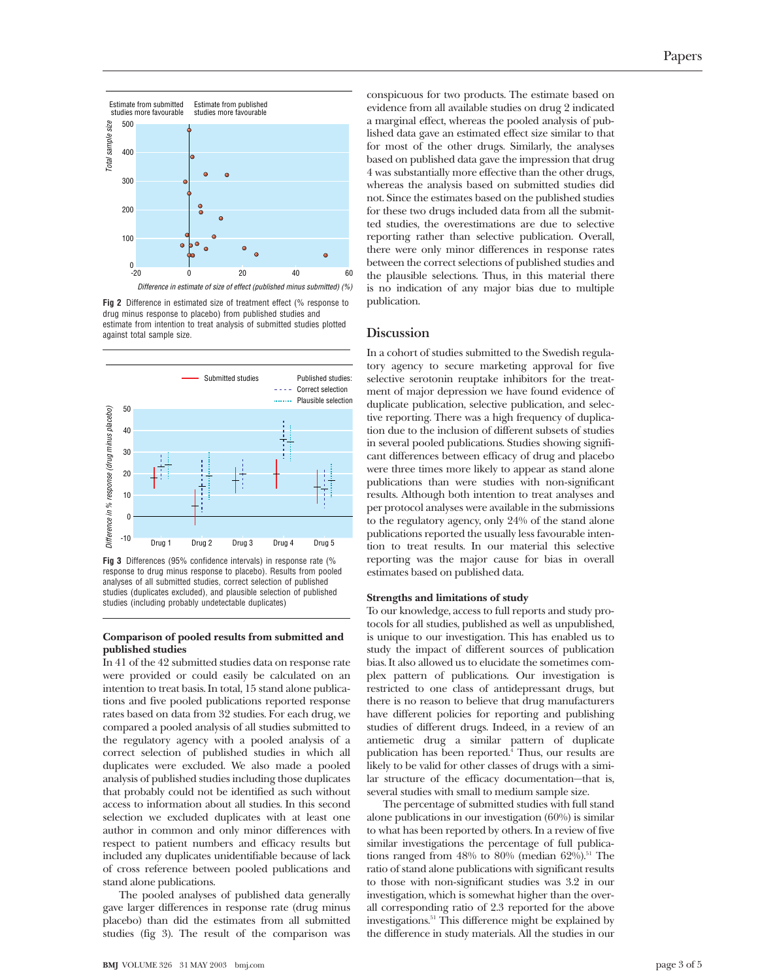

**Fig 2** Difference in estimated size of treatment effect (% response to drug minus response to placebo) from published studies and estimate from intention to treat analysis of submitted studies plotted against total sample size.



**Fig 3** Differences (95% confidence intervals) in response rate (% response to drug minus response to placebo). Results from pooled analyses of all submitted studies, correct selection of published studies (duplicates excluded), and plausible selection of published studies (including probably undetectable duplicates)

#### **Comparison of pooled results from submitted and published studies**

In 41 of the 42 submitted studies data on response rate were provided or could easily be calculated on an intention to treat basis. In total, 15 stand alone publications and five pooled publications reported response rates based on data from 32 studies. For each drug, we compared a pooled analysis of all studies submitted to the regulatory agency with a pooled analysis of a correct selection of published studies in which all duplicates were excluded. We also made a pooled analysis of published studies including those duplicates that probably could not be identified as such without access to information about all studies. In this second selection we excluded duplicates with at least one author in common and only minor differences with respect to patient numbers and efficacy results but included any duplicates unidentifiable because of lack of cross reference between pooled publications and stand alone publications.

The pooled analyses of published data generally gave larger differences in response rate (drug minus placebo) than did the estimates from all submitted studies (fig 3). The result of the comparison was conspicuous for two products. The estimate based on evidence from all available studies on drug 2 indicated a marginal effect, whereas the pooled analysis of published data gave an estimated effect size similar to that for most of the other drugs. Similarly, the analyses based on published data gave the impression that drug 4 was substantially more effective than the other drugs, whereas the analysis based on submitted studies did not. Since the estimates based on the published studies for these two drugs included data from all the submitted studies, the overestimations are due to selective reporting rather than selective publication. Overall, there were only minor differences in response rates between the correct selections of published studies and the plausible selections. Thus, in this material there is no indication of any major bias due to multiple publication.

#### **Discussion**

In a cohort of studies submitted to the Swedish regulatory agency to secure marketing approval for five selective serotonin reuptake inhibitors for the treatment of major depression we have found evidence of duplicate publication, selective publication, and selective reporting. There was a high frequency of duplication due to the inclusion of different subsets of studies in several pooled publications. Studies showing significant differences between efficacy of drug and placebo were three times more likely to appear as stand alone publications than were studies with non-significant results. Although both intention to treat analyses and per protocol analyses were available in the submissions to the regulatory agency, only 24% of the stand alone publications reported the usually less favourable intention to treat results. In our material this selective reporting was the major cause for bias in overall estimates based on published data.

#### **Strengths and limitations of study**

To our knowledge, access to full reports and study protocols for all studies, published as well as unpublished, is unique to our investigation. This has enabled us to study the impact of different sources of publication bias. It also allowed us to elucidate the sometimes complex pattern of publications. Our investigation is restricted to one class of antidepressant drugs, but there is no reason to believe that drug manufacturers have different policies for reporting and publishing studies of different drugs. Indeed, in a review of an antiemetic drug a similar pattern of duplicate publication has been reported.4 Thus, our results are likely to be valid for other classes of drugs with a similar structure of the efficacy documentation—that is, several studies with small to medium sample size.

The percentage of submitted studies with full stand alone publications in our investigation (60%) is similar to what has been reported by others. In a review of five similar investigations the percentage of full publications ranged from 48% to 80% (median  $62\%$ ).<sup>51</sup> The ratio of stand alone publications with significant results to those with non-significant studies was 3.2 in our investigation, which is somewhat higher than the overall corresponding ratio of 2.3 reported for the above investigations.<sup>51</sup> This difference might be explained by the difference in study materials. All the studies in our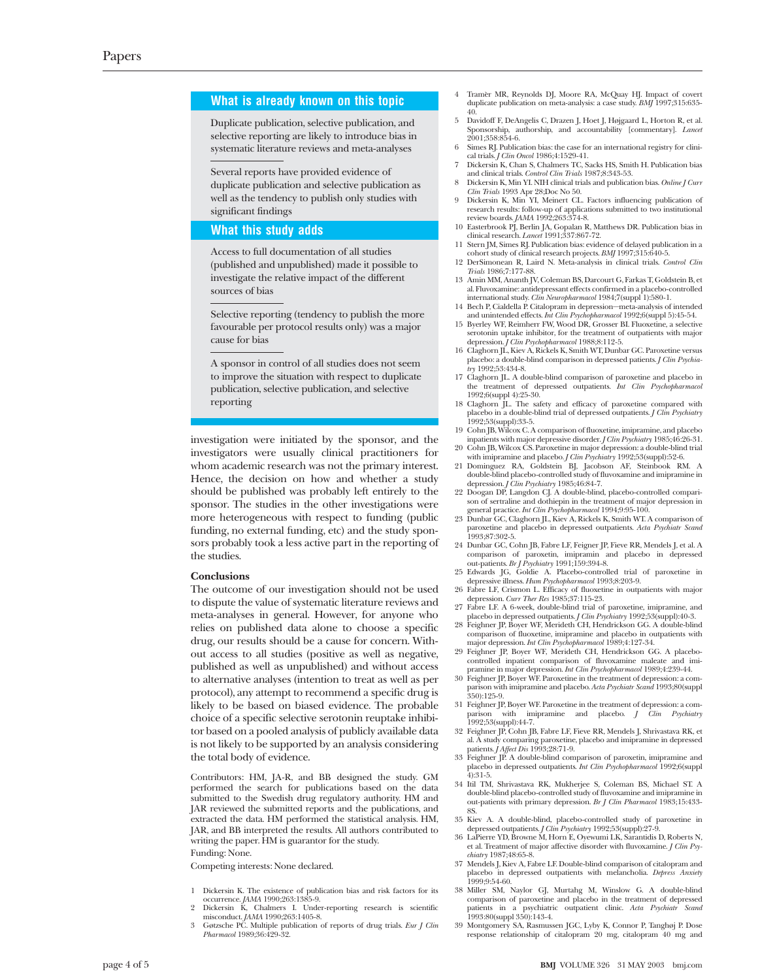#### **What is already known on this topic**

Duplicate publication, selective publication, and selective reporting are likely to introduce bias in systematic literature reviews and meta-analyses

Several reports have provided evidence of duplicate publication and selective publication as well as the tendency to publish only studies with significant findings

#### **What this study adds**

Access to full documentation of all studies (published and unpublished) made it possible to investigate the relative impact of the different sources of bias

Selective reporting (tendency to publish the more favourable per protocol results only) was a major cause for bias

A sponsor in control of all studies does not seem to improve the situation with respect to duplicate publication, selective publication, and selective reporting

investigation were initiated by the sponsor, and the investigators were usually clinical practitioners for whom academic research was not the primary interest. Hence, the decision on how and whether a study should be published was probably left entirely to the sponsor. The studies in the other investigations were more heterogeneous with respect to funding (public funding, no external funding, etc) and the study sponsors probably took a less active part in the reporting of the studies.

#### **Conclusions**

The outcome of our investigation should not be used to dispute the value of systematic literature reviews and meta-analyses in general. However, for anyone who relies on published data alone to choose a specific drug, our results should be a cause for concern. Without access to all studies (positive as well as negative, published as well as unpublished) and without access to alternative analyses (intention to treat as well as per protocol), any attempt to recommend a specific drug is likely to be based on biased evidence. The probable choice of a specific selective serotonin reuptake inhibitor based on a pooled analysis of publicly available data is not likely to be supported by an analysis considering the total body of evidence.

Contributors: HM, JA-R, and BB designed the study. GM performed the search for publications based on the data submitted to the Swedish drug regulatory authority. HM and JAR reviewed the submitted reports and the publications, and extracted the data. HM performed the statistical analysis. HM, JAR, and BB interpreted the results. All authors contributed to writing the paper. HM is guarantor for the study.

#### Funding: None.

Competing interests: None declared.

- 1 Dickersin K. The existence of publication bias and risk factors for its occurrence. *JAMA* 1990;263:1385-9. 2 Dickersin K, Chalmers I. Under-reporting research is scientific
- 
- misconduct. *JAMA* 1990;263:1405-8.<br>3 Gøtzsche PC. Multiple publication of reports of drug trials. *Eur J Clin Pharmacol* 1989;36:429-32.
- 4 Tramèr MR, Reynolds DJ, Moore RA, McQuay HJ. Impact of covert duplicate publication on meta-analysis: a case study. *BMJ* 1997;315:635- 40.
- 5 Davidoff F, DeAngelis C, Drazen J, Hoet J, Højgaard L, Horton R, et al. Sponsorship, authorship, and accountability [commentary]. *Lancet* 2001;358:854-6.
- 6 Simes RJ. Publication bias: the case for an international registry for clinical trials. *J Clin Oncol* 1986;4:1529-41.
- 7 Dickersin K, Chan S, Chalmers TC, Sacks HS, Smith H. Publication bias and clinical trials. *Control Clin Trials* 1987;8:343-53.
- 8 Dickersin K, Min YI. NIH clinical trials and publication bias. *Online J Curr Clin Trials* 1993 Apr 28;Doc No 50. 9 Dickersin K, Min YI, Meinert CL. Factors influencing publication of
- research results: follow-up of applications submitted to two institutional review boards. *JAMA* 1992;263:374-8.
- 10 Easterbrook PJ, Berlin JA, Gopalan R, Matthews DR. Publication bias in clinical research. *Lancet* 1991;337:867-72.
- 11 Stern JM, Simes RJ. Publication bias: evidence of delayed publication in a cohort study of clinical research projects. *BMJ* 1997;315:640-5. 12 DerSimonean R, Laird N. Meta-analysis in clinical trials. *Control Clin*
- *Trials* 1986;7:177-88. 13 Amin MM, Ananth JV, Coleman BS, Darcourt G, Farkas T, Goldstein B, et al. Fluvoxamine: antidepressant effects confirmed in a placebo-controlled international study. *Clin Neuropharmacol* 1984;7(suppl 1):580-1.
- 14 Bech P, Cialdella P. Citalopram in depression—meta-analysis of intended
- and unintended effects. *Int Clin Psychopharmacol* 1992;6(suppl 5):45-54. 15 Byerley WF, Reimherr FW, Wood DR, Grosser BI. Fluoxetine, a selective serotonin uptake inhibitor, for the treatment of outpatients with major depression. *J Clin Psychopharmacol* 1988;8:112-5.
- 16 Claghorn JL, Kiev A, Rickels K, Smith WT, Dunbar GC. Paroxetine versus placebo: a double-blind comparison in depressed patients. *J Clin Psychiatry* 1992;53:434-8.
- 17 Claghorn JL. A double-blind comparison of paroxetine and placebo in the treatment of depressed outpatients. *Int Clin Psychopharmacol* 1992;6(suppl 4):25-30.
- 18 Claghorn JL. The safety and efficacy of paroxetine compared with placebo in a double-blind trial of depressed outpatients. *J Clin Psychiatry* 1992;53(suppl):33-5.
- 19 Cohn JB, Wilcox C. A comparison of fluoxetine, imipramine, and placebo
- inpatients with major depressive disorder. *J Clin Psychiatry* 1985;46:26-31<br>20 Coln JB, Wilcox CS. Paroxetine in major depression: a double-blind trial<br>with imipramine and placebo. *J Clin Psychiatry* 1992;53(suppl):52-6.
- 21 Dominguez RA, Goldstein BJ, Jacobson AF, Steinbook RM. A double-blind placebo-controlled study of fluvoxamine and imipramine in depression. *J Clin Psychiatry* 1985;46:84-7.
- 22 Doogan DP, Langdon CJ. A double-blind, placebo-controlled comparison of sertraline and dothiepin in the treatment of major depression in general practice. *Int Clin Psychopharmacol* 1994;9:95-100.
- 23 Dunbar GC, Claghorn JL, Kiev A, Rickels K, Smith WT. A comparison of paroxetine and placebo in depressed outpatients. *Acta Psychiatr Scand* 1993;87:302-5.
- 24 Dunbar GC, Cohn JB, Fabre LF, Feigner JP, Fieve RR, Mendels J, et al. A comparison of paroxetin, imipramin and placebo in depressed out-patients. *Br J Psychiatry* 1991;159:394-8. 25 Edwards JG, Goldie A. Placebo-controlled trial of paroxetine in
- depressive illness. *Hum Psychopharmacol* 1993;8:203-9.
- 26 Fabre LF, Crismon L. Efficacy of fluoxetine in outpatients with major depression. *Curr Ther Res* 1985;37:115-23.
- 27 Fabre LF. A 6-week, double-blind trial of paroxetine, imipramine, and placebo in depressed outpatients. *J Clin Psychiatry* 1992;53(suppl):40-3. 28 Feighner JP, Boyer WF, Merideth CH, Hendrickson GG. A double-blind
- comparison of fluoxetine, imipramine and placebo in outpatients with major depression. *Int Clin Psychopharmacol* 1989;4:127-34.
- 29 Feighner JP, Boyer WF, Merideth CH, Hendrickson GG. A placebocontrolled inpatient comparison of fluvoxamine maleate and imi-pramine in major depression. *Int Clin Psychopharmacol* 1989;4:239-44.
- 30 Feighner JP, Boyer WF. Paroxetine in the treatment of depression: a com-parison with imipramine and placebo. *Acta Psychiatr Scand* 1993;80(suppl 350):125-9.
- 31 Feighner JP, Boyer WF. Paroxetine in the treatment of depression: a comparison with imipramine and placebo. *J Clin Psychiatry* 1992;53(suppl):44-7.
- 32 Feighner JP, Cohn JB, Fabre LF, Fieve RR, Mendels J, Shrivastava RK, et al. A study comparing paroxetine, placebo and imipramine in depressed patients. *J Affect Dis* 1993;28:71-9.
- 33 Feighner JP. A double-blind comparison of paroxetin, imipramine and placebo in depressed outpatients. *Int Clin Psychopharmacol* 1992;6(suppl 4):31-5.
- 34 Itil TM, Shrivastava RK, Mukherjee S, Coleman BS, Michael ST. A double-blind placebo-controlled study of fluvoxamine and imipramine in out-patients with primary depression. *Br J Clin Pharmacol* 1983;15:433- 8S.
- 35 Kiev A. A double-blind, placebo-controlled study of paroxetine in
- depressed outpatients. *J Clin Psychiatry* 1992;53(suppl):27-9. 36 LaPierre YD, Browne M, Horn E, Oyewumi LK, Sarantidis D, Roberts N, et al. Treatment of major affective disorder with fluvoxamine. *J Clin Psychiatry* 1987;48:65-8.
- 37 Mendels J, Kiev A, Fabre LF. Double-blind comparison of citalopram and placebo in depressed outpatients with melancholia. *Depress Anxiety* 1999;9:54-60.
- 38 Miller SM, Naylor GJ, Murtahg M, Winslow G. A double-blind comparison of paroxetine and placebo in the treatment of depressed patients in a psychiatric outpatient clinic. *Acta Psychiatr Scand* 1993:80(suppl 350):143-4.
- 39 Montgomery SA, Rasmussen JGC, Lyby K, Connor P, Tanghøj P. Dose response relationship of citalopram 20 mg, citalopram 40 mg and